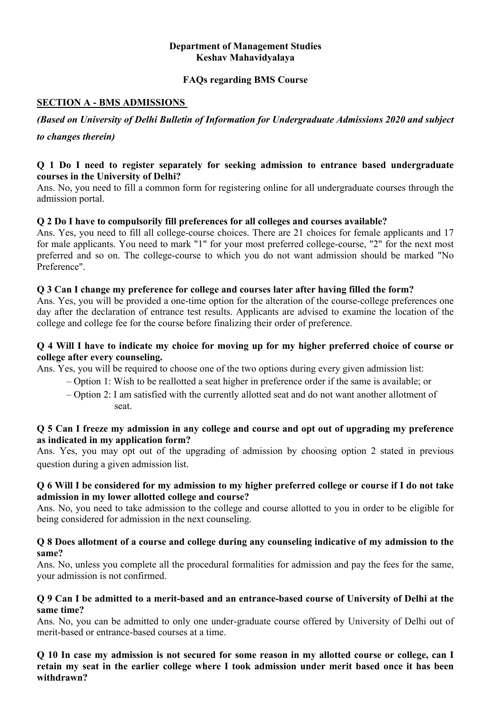### **Department of Management Studies Keshav Mahavidyalaya**

### **FAQs regarding BMS Course**

## **SECTION A - BMS ADMISSIONS**

*(Based on University of Delhi Bulletin of Information for Undergraduate Admissions 2020 and subject to changes therein)*

### **Q 1 Do I need to register separately for seeking admission to entrance based undergraduate courses in the University of Delhi?**

Ans. No, you need to fill a common form for registering online for all undergraduate courses through the admission portal.

## **Q 2 Do I have to compulsorily fill preferences for all colleges and courses available?**

Ans. Yes, you need to fill all college-course choices. There are 21 choices for female applicants and 17 for male applicants. You need to mark "1" for your most preferred college-course, "2" for the next most preferred and so on. The college-course to which you do not want admission should be marked "No Preference".

## **Q 3 Can I change my preference for college and courses later after having filled the form?**

Ans. Yes, you will be provided a one-time option for the alteration of the course-college preferences one day after the declaration of entrance test results. Applicants are advised to examine the location of the college and college fee for the course before finalizing their order of preference.

### **Q 4 Will I have to indicate my choice for moving up for my higher preferred choice of course or college after every counseling.**

Ans. Yes, you will be required to choose one of the two options during every given admission list:

- Option 1: Wish to be reallotted a seat higher in preference order if the same is available; or
- Option 2: I am satisfied with the currently allotted seat and do not want another allotment of seat.

### **Q 5 Can I freeze my admission in any college and course and opt out of upgrading my preference as indicated in my application form?**

Ans. Yes, you may opt out of the upgrading of admission by choosing option 2 stated in previous question during a given admission list.

### **Q 6 Will I be considered for my admission to my higher preferred college or course if I do not take admission in my lower allotted college and course?**

Ans. No, you need to take admission to the college and course allotted to you in order to be eligible for being considered for admission in the next counseling.

### **Q 8 Does allotment of a course and college during any counseling indicative of my admission to the same?**

Ans. No, unless you complete all the procedural formalities for admission and pay the fees for the same, your admission is not confirmed.

#### **Q 9 Can I be admitted to a merit-based and an entrance-based course of University of Delhi at the same time?**

Ans. No, you can be admitted to only one under-graduate course offered by University of Delhi out of merit-based or entrance-based courses at a time.

**Q 10 In case my admission is not secured for some reason in my allotted course or college, can I retain my seat in the earlier college where I took admission under merit based once it has been withdrawn?**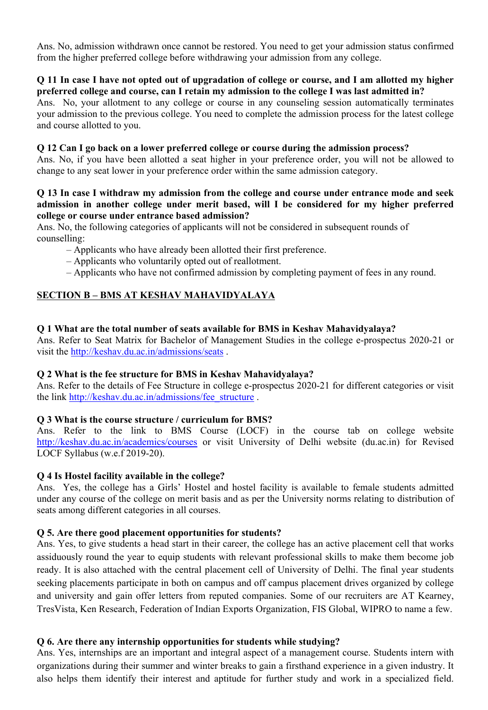Ans. No, admission withdrawn once cannot be restored. You need to get your admission status confirmed from the higher preferred college before withdrawing your admission from any college.

#### **Q 11 In case I have not opted out of upgradation of college or course, and I am allotted my higher preferred college and course, can I retain my admission to the college I was last admitted in?**

Ans. No, your allotment to any college or course in any counseling session automatically terminates your admission to the previous college. You need to complete the admission process for the latest college and course allotted to you.

## **Q 12 Can I go back on a lower preferred college or course during the admission process?**

Ans. No, if you have been allotted a seat higher in your preference order, you will not be allowed to change to any seat lower in your preference order within the same admission category.

#### **Q 13 In case I withdraw my admission from the college and course under entrance mode and seek admission in another college under merit based, will I be considered for my higher preferred college or course under entrance based admission?**

Ans. No, the following categories of applicants will not be considered in subsequent rounds of counselling:

- Applicants who have already been allotted their first preference.
- Applicants who voluntarily opted out of reallotment.
- Applicants who have not confirmed admission by completing payment of fees in any round.

# **SECTION B – BMS AT KESHAV MAHAVIDYALAYA**

### **Q 1 What are the total number of seats available for BMS in Keshav Mahavidyalaya?**

Ans. Refer to Seat Matrix for Bachelor of Management Studies in the college e-prospectus 2020-21 or visit the<http://keshav.du.ac.in/admissions/seats>.

#### **Q 2 What is the fee structure for BMS in Keshav Mahavidyalaya?**

Ans. Refer to the details of Fee Structure in college e-prospectus 2020-21 for different categories or visit the link [http://keshav.du.ac.in/admissions/fee\\_structure](http://keshav.du.ac.in/admissions/fee_structure) .

#### **Q 3 What is the course structure / curriculum for BMS?**

Ans. Refer to the link to BMS Course (LOCF) in the course tab on college website <http://keshav.du.ac.in/academics/courses> or visit University of Delhi website (du.ac.in) for Revised LOCF Syllabus (w.e.f 2019-20).

#### **Q 4 Is Hostel facility available in the college?**

Ans. Yes, the college has a Girls' Hostel and hostel facility is available to female students admitted under any course of the college on merit basis and as per the University norms relating to distribution of seats among different categories in all courses.

## **Q 5. Are there good placement opportunities for students?**

Ans. Yes, to give students a head start in their career, the college has an active placement cell that works assiduously round the year to equip students with relevant professional skills to make them become job ready. It is also attached with the central placement cell of University of Delhi. The final year students seeking placements participate in both on campus and off campus placement drives organized by college and university and gain offer letters from reputed companies. Some of our recruiters are AT Kearney, TresVista, Ken Research, Federation of Indian Exports Organization, FIS Global, WIPRO to name a few.

## **Q 6. Are there any internship opportunities for students while studying?**

Ans. Yes, internships are an important and integral aspect of a management course. Students intern with organizations during their summer and winter breaks to gain a firsthand experience in a given industry. It also helps them identify their interest and aptitude for further study and work in a specialized field.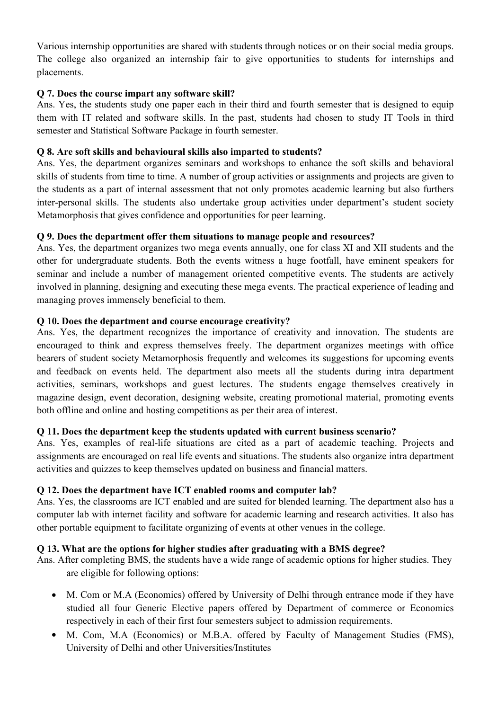Various internship opportunities are shared with students through notices or on their social media groups. The college also organized an internship fair to give opportunities to students for internships and placements.

## **Q 7. Does the course impart any software skill?**

Ans. Yes, the students study one paper each in their third and fourth semester that is designed to equip them with IT related and software skills. In the past, students had chosen to study IT Tools in third semester and Statistical Software Package in fourth semester.

### **Q 8. Are soft skills and behavioural skills also imparted to students?**

Ans. Yes, the department organizes seminars and workshops to enhance the soft skills and behavioral skills of students from time to time. A number of group activities or assignments and projects are given to the students as a part of internal assessment that not only promotes academic learning but also furthers inter-personal skills. The students also undertake group activities under department's student society Metamorphosis that gives confidence and opportunities for peer learning.

### **Q 9. Does the department offer them situations to manage people and resources?**

Ans. Yes, the department organizes two mega events annually, one for class XI and XII students and the other for undergraduate students. Both the events witness a huge footfall, have eminent speakers for seminar and include a number of management oriented competitive events. The students are actively involved in planning, designing and executing these mega events. The practical experience of leading and managing proves immensely beneficial to them.

### **Q 10. Does the department and course encourage creativity?**

Ans. Yes, the department recognizes the importance of creativity and innovation. The students are encouraged to think and express themselves freely. The department organizes meetings with office bearers of student society Metamorphosis frequently and welcomes its suggestions for upcoming events and feedback on events held. The department also meets all the students during intra department activities, seminars, workshops and guest lectures. The students engage themselves creatively in magazine design, event decoration, designing website, creating promotional material, promoting events both offline and online and hosting competitions as per their area of interest.

## **Q 11. Does the department keep the students updated with current business scenario?**

Ans. Yes, examples of real-life situations are cited as a part of academic teaching. Projects and assignments are encouraged on real life events and situations. The students also organize intra department activities and quizzes to keep themselves updated on business and financial matters.

#### **Q 12. Does the department have ICT enabled rooms and computer lab?**

Ans. Yes, the classrooms are ICT enabled and are suited for blended learning. The department also has a computer lab with internet facility and software for academic learning and research activities. It also has other portable equipment to facilitate organizing of events at other venues in the college.

### **Q 13. What are the options for higher studies after graduating with a BMS degree?**

- Ans. After completing BMS, the students have a wide range of academic options for higher studies. They are eligible for following options:
	- M. Com or M.A (Economics) offered by University of Delhi through entrance mode if they have studied all four Generic Elective papers offered by Department of commerce or Economics respectively in each of their first four semesters subject to admission requirements.
	- M. Com, M.A (Economics) or M.B.A. offered by Faculty of Management Studies (FMS), University of Delhi and other Universities/Institutes